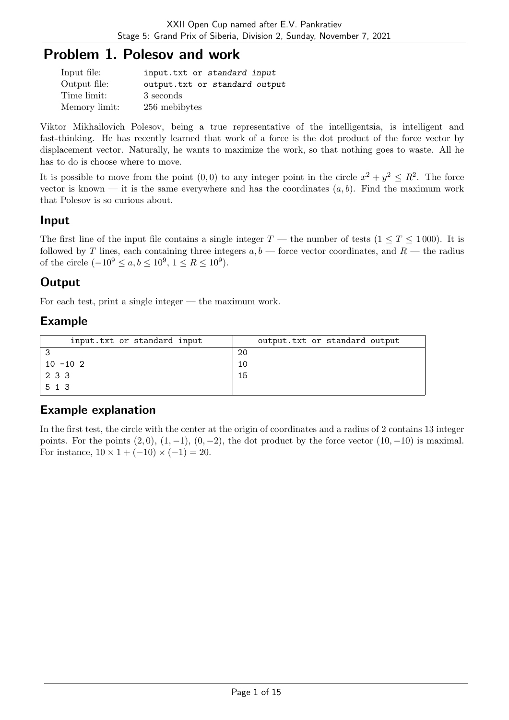# Problem 1. Polesov and work

| Input file:   | input.txt or standard input   |
|---------------|-------------------------------|
| Output file:  | output.txt or standard output |
| Time limit:   | 3 seconds                     |
| Memory limit: | 256 mebibytes                 |

Viktor Mikhailovich Polesov, being a true representative of the intelligentsia, is intelligent and fast-thinking. He has recently learned that work of a force is the dot product of the force vector by displacement vector. Naturally, he wants to maximize the work, so that nothing goes to waste. All he has to do is choose where to move.

It is possible to move from the point  $(0,0)$  to any integer point in the circle  $x^2 + y^2 \le R^2$ . The force vector is known — it is the same everywhere and has the coordinates  $(a, b)$ . Find the maximum work that Polesov is so curious about.

### Input

The first line of the input file contains a single integer  $T$  — the number of tests  $(1 \le T \le 1000)$ . It is followed by T lines, each containing three integers  $a, b$  — force vector coordinates, and  $R$  — the radius of the circle  $(-10^9 \le a, b \le 10^9, 1 \le R \le 10^9)$ .

# **Output**

For each test, print a single integer — the maximum work.

### Example

| input.txt or standard input | output.txt or standard output |
|-----------------------------|-------------------------------|
|                             | -20                           |
| $10 - 102$                  | 10                            |
| 2 3 3                       | 15                            |
| 5 1 3                       |                               |

# Example explanation

In the first test, the circle with the center at the origin of coordinates and a radius of 2 contains 13 integer points. For the points  $(2, 0), (1, -1), (0, -2)$ , the dot product by the force vector  $(10, -10)$  is maximal. For instance,  $10 \times 1 + (-10) \times (-1) = 20$ .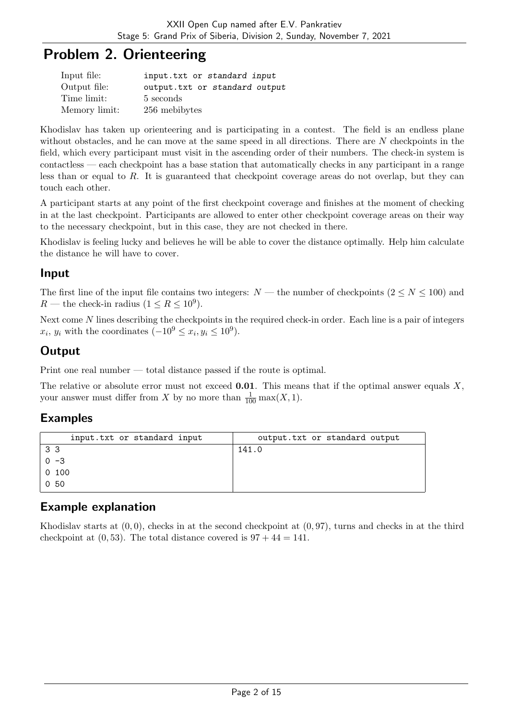# Problem 2. Orienteering

| Input file:   | input.txt or standard input   |
|---------------|-------------------------------|
| Output file:  | output.txt or standard output |
| Time limit:   | 5 seconds                     |
| Memory limit: | 256 mebibytes                 |

Khodislav has taken up orienteering and is participating in a contest. The field is an endless plane without obstacles, and he can move at the same speed in all directions. There are N checkpoints in the field, which every participant must visit in the ascending order of their numbers. The check-in system is contactless — each checkpoint has a base station that automatically checks in any participant in a range less than or equal to  $R$ . It is guaranteed that checkpoint coverage areas do not overlap, but they can touch each other.

A participant starts at any point of the first checkpoint coverage and finishes at the moment of checking in at the last checkpoint. Participants are allowed to enter other checkpoint coverage areas on their way to the necessary checkpoint, but in this case, they are not checked in there.

Khodislav is feeling lucky and believes he will be able to cover the distance optimally. Help him calculate the distance he will have to cover.

### Input

The first line of the input file contains two integers:  $N$  — the number of checkpoints  $(2 \le N \le 100)$  and R — the check-in radius  $(1 \le R \le 10^9)$ .

Next come  $N$  lines describing the checkpoints in the required check-in order. Each line is a pair of integers  $x_i, y_i$  with the coordinates  $(-10^9 \le x_i, y_i \le 10^9)$ .

# **Output**

Print one real number — total distance passed if the route is optimal.

The relative or absolute error must not exceed  $0.01$ . This means that if the optimal answer equals X, your answer must differ from X by no more than  $\frac{1}{100} \max(X, 1)$ .

# Examples

| input.txt or standard input | output.txt or standard output |
|-----------------------------|-------------------------------|
| 33                          | 141.0                         |
| $0 -3$                      |                               |
| 0 100                       |                               |
| 0 50                        |                               |

# Example explanation

Khodislav starts at  $(0, 0)$ , checks in at the second checkpoint at  $(0, 97)$ , turns and checks in at the third checkpoint at  $(0, 53)$ . The total distance covered is  $97 + 44 = 141$ .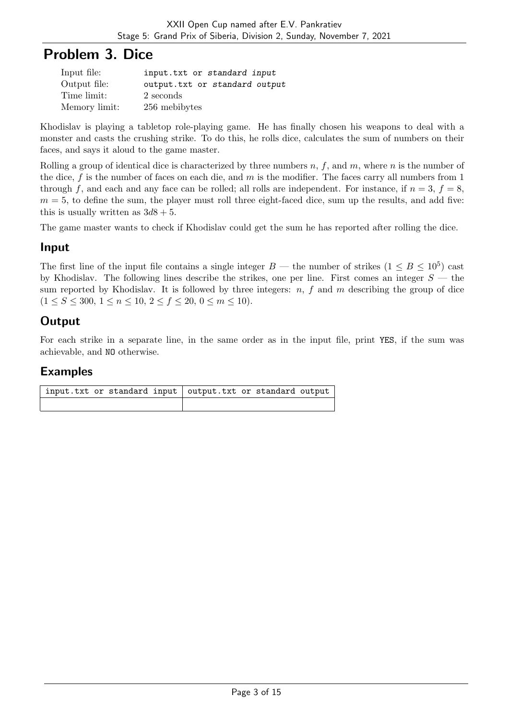# Problem 3. Dice

| Input file:   | input.txt or standard input   |
|---------------|-------------------------------|
| Output file:  | output.txt or standard output |
| Time limit:   | 2 seconds                     |
| Memory limit: | 256 mebibytes                 |

Khodislav is playing a tabletop role-playing game. He has finally chosen his weapons to deal with a monster and casts the crushing strike. To do this, he rolls dice, calculates the sum of numbers on their faces, and says it aloud to the game master.

Rolling a group of identical dice is characterized by three numbers  $n, f$ , and  $m$ , where  $n$  is the number of the dice, f is the number of faces on each die, and  $m$  is the modifier. The faces carry all numbers from 1 through f, and each and any face can be rolled; all rolls are independent. For instance, if  $n = 3$ ,  $f = 8$ ,  $m = 5$ , to define the sum, the player must roll three eight-faced dice, sum up the results, and add five: this is usually written as  $3d8 + 5$ .

The game master wants to check if Khodislav could get the sum he has reported after rolling the dice.

#### Input

The first line of the input file contains a single integer  $B$  — the number of strikes  $(1 \le B \le 10^5)$  cast by Khodislav. The following lines describe the strikes, one per line. First comes an integer  $S$  — the sum reported by Khodislav. It is followed by three integers:  $n$ ,  $f$  and  $m$  describing the group of dice  $(1 \leq S \leq 300, 1 \leq n \leq 10, 2 \leq f \leq 20, 0 \leq m \leq 10).$ 

### **Output**

For each strike in a separate line, in the same order as in the input file, print YES, if the sum was achievable, and NO otherwise.

#### Examples

| input.txt or standard input   output.txt or standard output |
|-------------------------------------------------------------|
|                                                             |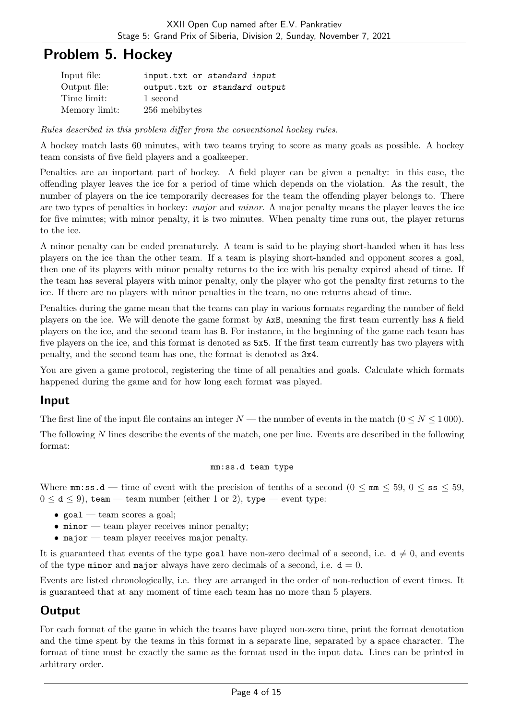# Problem 5. Hockey

| Input file:   | input.txt or standard input   |
|---------------|-------------------------------|
| Output file:  | output.txt or standard output |
| Time limit:   | 1 second                      |
| Memory limit: | 256 mebibytes                 |

Rules described in this problem differ from the conventional hockey rules.

A hockey match lasts 60 minutes, with two teams trying to score as many goals as possible. A hockey team consists of five field players and a goalkeeper.

Penalties are an important part of hockey. A field player can be given a penalty: in this case, the offending player leaves the ice for a period of time which depends on the violation. As the result, the number of players on the ice temporarily decreases for the team the offending player belongs to. There are two types of penalties in hockey: major and minor. A major penalty means the player leaves the ice for five minutes; with minor penalty, it is two minutes. When penalty time runs out, the player returns to the ice.

A minor penalty can be ended prematurely. A team is said to be playing short-handed when it has less players on the ice than the other team. If a team is playing short-handed and opponent scores a goal, then one of its players with minor penalty returns to the ice with his penalty expired ahead of time. If the team has several players with minor penalty, only the player who got the penalty first returns to the ice. If there are no players with minor penalties in the team, no one returns ahead of time.

Penalties during the game mean that the teams can play in various formats regarding the number of field players on the ice. We will denote the game format by AxB, meaning the first team currently has A field players on the ice, and the second team has B. For instance, in the beginning of the game each team has five players on the ice, and this format is denoted as 5x5. If the first team currently has two players with penalty, and the second team has one, the format is denoted as 3x4.

You are given a game protocol, registering the time of all penalties and goals. Calculate which formats happened during the game and for how long each format was played.

#### Input

The first line of the input file contains an integer  $N$  — the number of events in the match  $(0 \le N \le 1000)$ .

The following N lines describe the events of the match, one per line. Events are described in the following format:

#### mm:ss.d team type

Where  $\text{mm:ss.d}$  — time of event with the precision of tenths of a second  $(0 \le \text{mm} \le 59, 0 \le \text{ss} \le 59,$  $0 \le d \le 9$ , team — team number (either 1 or 2), type — event type:

- goal team scores a goal;
- $\bullet$  minor team player receives minor penalty;
- major team player receives major penalty.

It is guaranteed that events of the type goal have non-zero decimal of a second, i.e.  $d \neq 0$ , and events of the type minor and major always have zero decimals of a second, i.e.  $d = 0$ .

Events are listed chronologically, i.e. they are arranged in the order of non-reduction of event times. It is guaranteed that at any moment of time each team has no more than 5 players.

### **Output**

For each format of the game in which the teams have played non-zero time, print the format denotation and the time spent by the teams in this format in a separate line, separated by a space character. The format of time must be exactly the same as the format used in the input data. Lines can be printed in arbitrary order.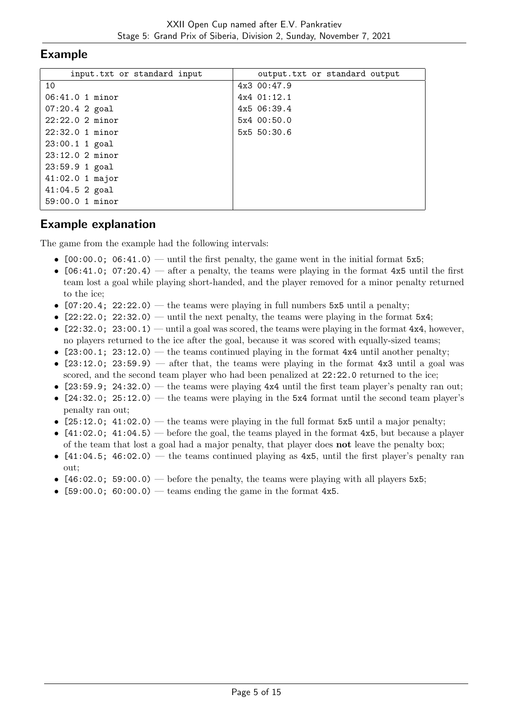#### Example

| input.txt or standard input | output.txt or standard output |
|-----------------------------|-------------------------------|
| 10                          | 4x300:47.9                    |
| $06:41.01$ minor            | $4x4$ 01:12.1                 |
| $07:20.4$ 2 goal            | 4x506:39.4                    |
| $22:22.02$ minor            | 5x400:50.0                    |
| $22:32.0$ 1 minor           | 5x550:30.6                    |
| $23:00.1$ 1 goal            |                               |
| $23:12.02$ minor            |                               |
| $23:59.9$ 1 goal            |                               |
| 41:02.0 1 major             |                               |
| $41:04.5$ 2 goal            |                               |
| 59:00.0 1 minor             |                               |

#### Example explanation

The game from the example had the following intervals:

- $[00:00.0; 06:41.0]$  until the first penalty, the game went in the initial format 5x5;
- $[06:41.0; 07:20.4]$  after a penalty, the teams were playing in the format 4x5 until the first team lost a goal while playing short-handed, and the player removed for a minor penalty returned to the ice;
- $[07:20.4; 22:22.0]$  the teams were playing in full numbers 5x5 until a penalty;
- $[22:22.0; 22:32.0]$  until the next penalty, the teams were playing in the format 5x4;
- $[22:32.0; 23:00.1)$  until a goal was scored, the teams were playing in the format 4x4, however, no players returned to the ice after the goal, because it was scored with equally-sized teams;
- $[23:00.1; 23:12.0]$  the teams continued playing in the format 4x4 until another penalty;
- $[23:12.0; 23:59.9]$  after that, the teams were playing in the format 4x3 until a goal was scored, and the second team player who had been penalized at  $22:22.0$  returned to the ice;
- $[23:59.9; 24:32.0]$  the teams were playing  $4x4$  until the first team player's penalty ran out;
- $[24:32.0; 25:12.0]$  the teams were playing in the 5x4 format until the second team player's penalty ran out;
- $[25:12.0; 41:02.0]$  the teams were playing in the full format 5x5 until a major penalty;
- $[41:02.0; 41:04.5]$  before the goal, the teams played in the format  $4x5$ , but because a player of the team that lost a goal had a major penalty, that player does not leave the penalty box;
- $[41:04.5; 46:02.0]$  the teams continued playing as  $4x5$ , until the first player's penalty ran out;
- $[46:02.0; 59:00.0]$  before the penalty, the teams were playing with all players 5x5;
- $[59:00.0; 60:00.0]$  teams ending the game in the format 4x5.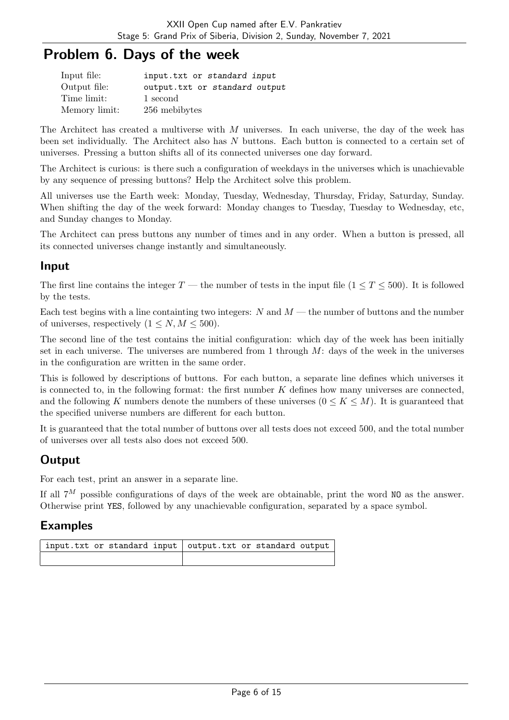# Problem 6. Days of the week

| Input file:   | input.txt or standard input   |
|---------------|-------------------------------|
| Output file:  | output.txt or standard output |
| Time limit:   | 1 second                      |
| Memory limit: | 256 mebibytes                 |

The Architect has created a multiverse with M universes. In each universe, the day of the week has been set individually. The Architect also has N buttons. Each button is connected to a certain set of universes. Pressing a button shifts all of its connected universes one day forward.

The Architect is curious: is there such a configuration of weekdays in the universes which is unachievable by any sequence of pressing buttons? Help the Architect solve this problem.

All universes use the Earth week: Monday, Tuesday, Wednesday, Thursday, Friday, Saturday, Sunday. When shifting the day of the week forward: Monday changes to Tuesday, Tuesday to Wednesday, etc, and Sunday changes to Monday.

The Architect can press buttons any number of times and in any order. When a button is pressed, all its connected universes change instantly and simultaneously.

### Input

The first line contains the integer T — the number of tests in the input file  $(1 \le T \le 500)$ . It is followed by the tests.

Each test begins with a line containting two integers:  $N$  and  $M$  — the number of buttons and the number of universes, respectively  $(1 \leq N, M \leq 500)$ .

The second line of the test contains the initial configuration: which day of the week has been initially set in each universe. The universes are numbered from 1 through  $M$ : days of the week in the universes in the configuration are written in the same order.

This is followed by descriptions of buttons. For each button, a separate line defines which universes it is connected to, in the following format: the first number  $K$  defines how many universes are connected, and the following K numbers denote the numbers of these universes  $(0 \leq K \leq M)$ . It is guaranteed that the specified universe numbers are different for each button.

It is guaranteed that the total number of buttons over all tests does not exceed 500, and the total number of universes over all tests also does not exceed 500.

# **Output**

For each test, print an answer in a separate line.

If all  $7^M$  possible configurations of days of the week are obtainable, print the word NO as the answer. Otherwise print YES, followed by any unachievable configuration, separated by a space symbol.

### Examples

| input.txt or standard input $\vert$ output.txt or standard output |
|-------------------------------------------------------------------|
|                                                                   |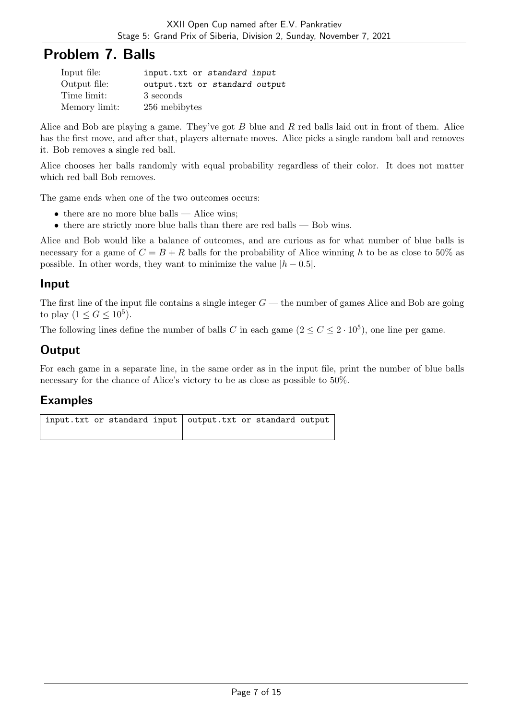# Problem 7. Balls

| Input file:   | input.txt or standard input   |
|---------------|-------------------------------|
| Output file:  | output.txt or standard output |
| Time limit:   | 3 seconds                     |
| Memory limit: | 256 mebibytes                 |

Alice and Bob are playing a game. They've got  $B$  blue and  $R$  red balls laid out in front of them. Alice has the first move, and after that, players alternate moves. Alice picks a single random ball and removes it. Bob removes a single red ball.

Alice chooses her balls randomly with equal probability regardless of their color. It does not matter which red ball Bob removes.

The game ends when one of the two outcomes occurs:

- $\bullet$  there are no more blue balls Alice wins;
- there are strictly more blue balls than there are red balls Bob wins.

Alice and Bob would like a balance of outcomes, and are curious as for what number of blue balls is necessary for a game of  $C = B + R$  balls for the probability of Alice winning h to be as close to 50% as possible. In other words, they want to minimize the value  $|h - 0.5|$ .

#### Input

The first line of the input file contains a single integer  $G$  — the number of games Alice and Bob are going to play  $(1 \le G \le 10^5)$ .

The following lines define the number of balls C in each game  $(2 \leq C \leq 2 \cdot 10^5)$ , one line per game.

### **Output**

For each game in a separate line, in the same order as in the input file, print the number of blue balls necessary for the chance of Alice's victory to be as close as possible to 50%.

#### Examples

| input.txt or standard input   output.txt or standard output |
|-------------------------------------------------------------|
|                                                             |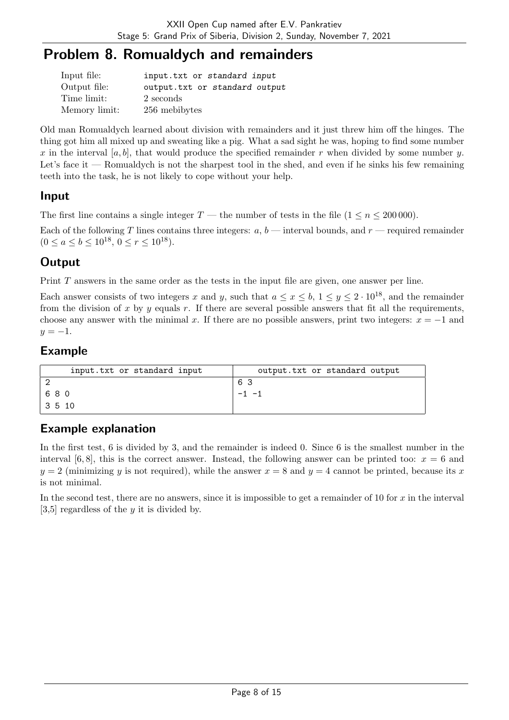# Problem 8. Romualdych and remainders

| Input file:   | input.txt or standard input   |
|---------------|-------------------------------|
| Output file:  | output.txt or standard output |
| Time limit:   | 2 seconds                     |
| Memory limit: | 256 mebibytes                 |

Old man Romualdych learned about division with remainders and it just threw him off the hinges. The thing got him all mixed up and sweating like a pig. What a sad sight he was, hoping to find some number x in the interval [a, b], that would produce the specified remainder r when divided by some number y. Let's face it — Romualdych is not the sharpest tool in the shed, and even if he sinks his few remaining teeth into the task, he is not likely to cope without your help.

### Input

The first line contains a single integer  $T$  — the number of tests in the file  $(1 \le n \le 200000)$ .

Each of the following T lines contains three integers:  $a, b$  — interval bounds, and  $r$  — required remainder  $(0 \leq a \leq b \leq 10^{18},\, 0 \leq r \leq 10^{18}).$ 

# **Output**

Print T answers in the same order as the tests in the input file are given, one answer per line.

Each answer consists of two integers x and y, such that  $a \leq x \leq b$ ,  $1 \leq y \leq 2 \cdot 10^{18}$ , and the remainder from the division of x by y equals r. If there are several possible answers that fit all the requirements, choose any answer with the minimal x. If there are no possible answers, print two integers:  $x = -1$  and  $y = -1$ .

### Example

| input.txt or standard input | output.txt or standard output |
|-----------------------------|-------------------------------|
|                             | 63                            |
| 680                         | $-1$ $-1$                     |
| 3510                        |                               |

# Example explanation

In the first test, 6 is divided by 3, and the remainder is indeed 0. Since 6 is the smallest number in the interval [6, 8], this is the correct answer. Instead, the following answer can be printed too:  $x = 6$  and  $y = 2$  (minimizing y is not required), while the answer  $x = 8$  and  $y = 4$  cannot be printed, because its x is not minimal.

In the second test, there are no answers, since it is impossible to get a remainder of 10 for  $x$  in the interval [3,5] regardless of the y it is divided by.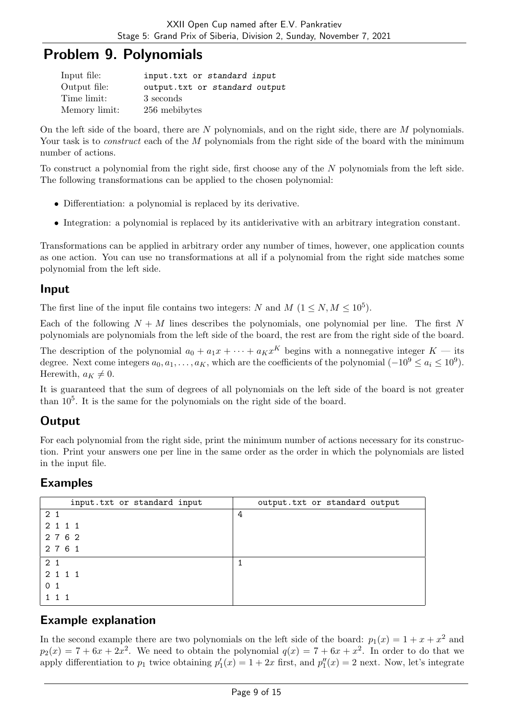# Problem 9. Polynomials

| Input file:   | input.txt or standard input   |
|---------------|-------------------------------|
| Output file:  | output.txt or standard output |
| Time limit:   | 3 seconds                     |
| Memory limit: | 256 mebibytes                 |

On the left side of the board, there are  $N$  polynomials, and on the right side, there are  $M$  polynomials. Your task is to *construct* each of the M polynomials from the right side of the board with the minimum number of actions.

To construct a polynomial from the right side, first choose any of the N polynomials from the left side. The following transformations can be applied to the chosen polynomial:

- Differentiation: a polynomial is replaced by its derivative.
- Integration: a polynomial is replaced by its antiderivative with an arbitrary integration constant.

Transformations can be applied in arbitrary order any number of times, however, one application counts as one action. You can use no transformations at all if a polynomial from the right side matches some polynomial from the left side.

### Input

The first line of the input file contains two integers: N and  $M$   $(1 \leq N, M \leq 10^5)$ .

Each of the following  $N + M$  lines describes the polynomials, one polynomial per line. The first N polynomials are polynomials from the left side of the board, the rest are from the right side of the board.

The description of the polynomial  $a_0 + a_1x + \cdots + a_Kx^K$  begins with a nonnegative integer  $K$  — its degree. Next come integers  $a_0, a_1, \ldots, a_K$ , which are the coefficients of the polynomial  $(-10^9 \le a_i \le 10^9)$ . Herewith,  $a_K \neq 0$ .

It is guaranteed that the sum of degrees of all polynomials on the left side of the board is not greater than  $10<sup>5</sup>$ . It is the same for the polynomials on the right side of the board.

# **Output**

For each polynomial from the right side, print the minimum number of actions necessary for its construction. Print your answers one per line in the same order as the order in which the polynomials are listed in the input file.

# Examples

| input.txt or standard input | output.txt or standard output |
|-----------------------------|-------------------------------|
| 2 1                         | 4                             |
| 2 1 1 1                     |                               |
| 2 7 6 2                     |                               |
| 2761                        |                               |
| 2 <sub>1</sub>              |                               |
| 2 1 1 1                     |                               |
| 0 <sub>1</sub>              |                               |
| 1 1 1                       |                               |

# Example explanation

In the second example there are two polynomials on the left side of the board:  $p_1(x) = 1 + x + x^2$  and  $p_2(x) = 7 + 6x + 2x^2$ . We need to obtain the polynomial  $q(x) = 7 + 6x + x^2$ . In order to do that we apply differentiation to  $p_1$  twice obtaining  $p'_1(x) = 1 + 2x$  first, and  $p''_1(x) = 2$  next. Now, let's integrate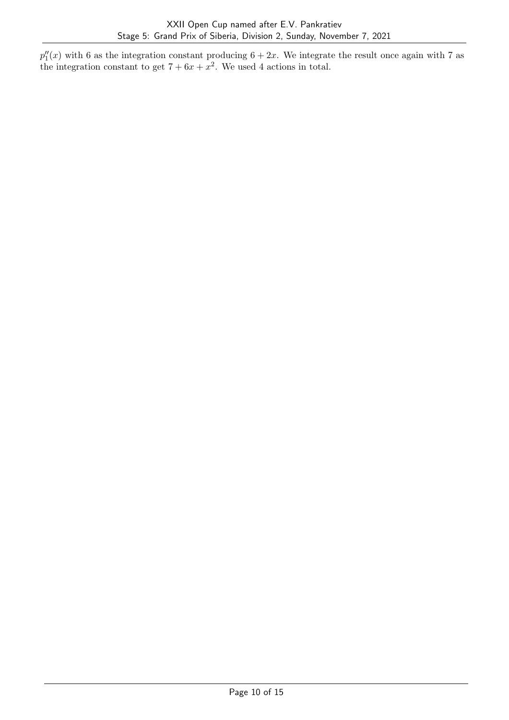$p''_1(x)$  with 6 as the integration constant producing  $6 + 2x$ . We integrate the result once again with 7 as the integration constant to get  $7 + 6x + x^2$ . We used 4 actions in total.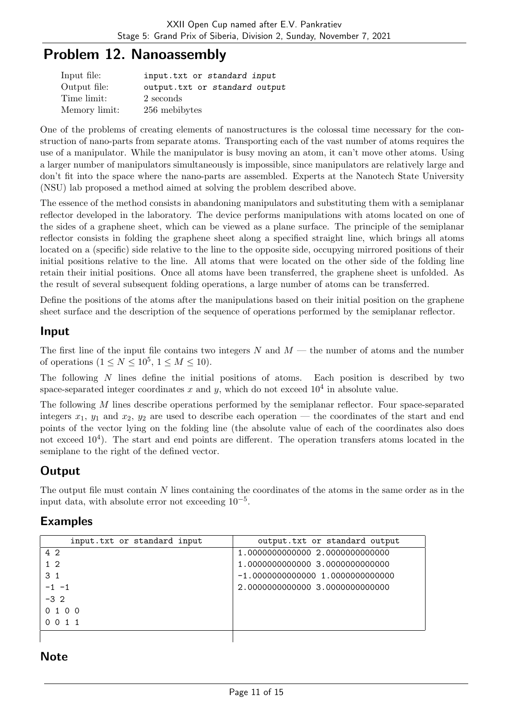# Problem 12. Nanoassembly

| Input file:   | input.txt or standard input   |
|---------------|-------------------------------|
| Output file:  | output.txt or standard output |
| Time limit:   | 2 seconds                     |
| Memory limit: | 256 mebibytes                 |

One of the problems of creating elements of nanostructures is the colossal time necessary for the construction of nano-parts from separate atoms. Transporting each of the vast number of atoms requires the use of a manipulator. While the manipulator is busy moving an atom, it can't move other atoms. Using a larger number of manipulators simultaneously is impossible, since manipulators are relatively large and don't fit into the space where the nano-parts are assembled. Experts at the Nanotech State University (NSU) lab proposed a method aimed at solving the problem described above.

The essence of the method consists in abandoning manipulators and substituting them with a semiplanar reflector developed in the laboratory. The device performs manipulations with atoms located on one of the sides of a graphene sheet, which can be viewed as a plane surface. The principle of the semiplanar reflector consists in folding the graphene sheet along a specified straight line, which brings all atoms located on a (specific) side relative to the line to the opposite side, occupying mirrored positions of their initial positions relative to the line. All atoms that were located on the other side of the folding line retain their initial positions. Once all atoms have been transferred, the graphene sheet is unfolded. As the result of several subsequent folding operations, a large number of atoms can be transferred.

Define the positions of the atoms after the manipulations based on their initial position on the graphene sheet surface and the description of the sequence of operations performed by the semiplanar reflector.

#### Input

The first line of the input file contains two integers  $N$  and  $M$  — the number of atoms and the number of operations  $(1 \leq N \leq 10^5, 1 \leq M \leq 10)$ .

The following N lines define the initial positions of atoms. Each position is described by two space-separated integer coordinates x and y, which do not exceed  $10^4$  in absolute value.

The following M lines describe operations performed by the semiplanar reflector. Four space-separated integers  $x_1, y_1$  and  $x_2, y_2$  are used to describe each operation — the coordinates of the start and end points of the vector lying on the folding line (the absolute value of each of the coordinates also does not exceed  $10^4$ ). The start and end points are different. The operation transfers atoms located in the semiplane to the right of the defined vector.

### **Output**

The output file must contain N lines containing the coordinates of the atoms in the same order as in the input data, with absolute error not exceeding 10−<sup>5</sup> .

#### Examples

| input.txt or standard input | output.txt or standard output   |
|-----------------------------|---------------------------------|
| 4 2                         | 1.0000000000000 2.0000000000000 |
| 1 <sub>2</sub>              | 1.0000000000000 3.0000000000000 |
| $\overline{3}$ 1            |                                 |
| $-1 -1$                     | 2.0000000000000 3.0000000000000 |
| $-32$                       |                                 |
| 0 1 0 0                     |                                 |
| 0 0 1 1                     |                                 |
|                             |                                 |

### **Note**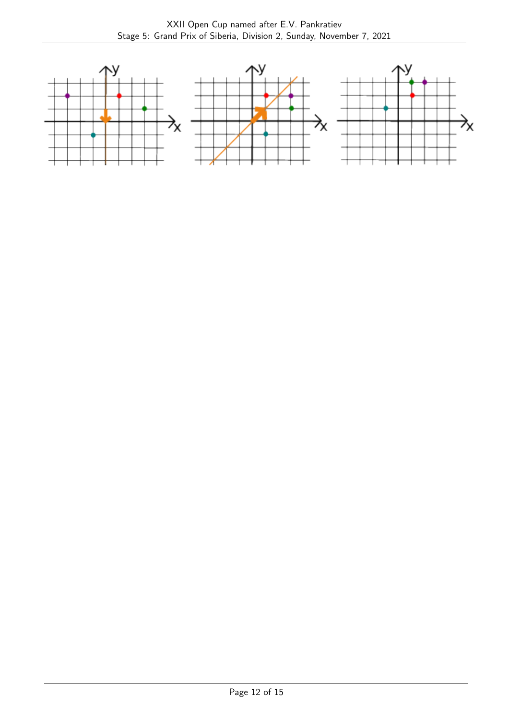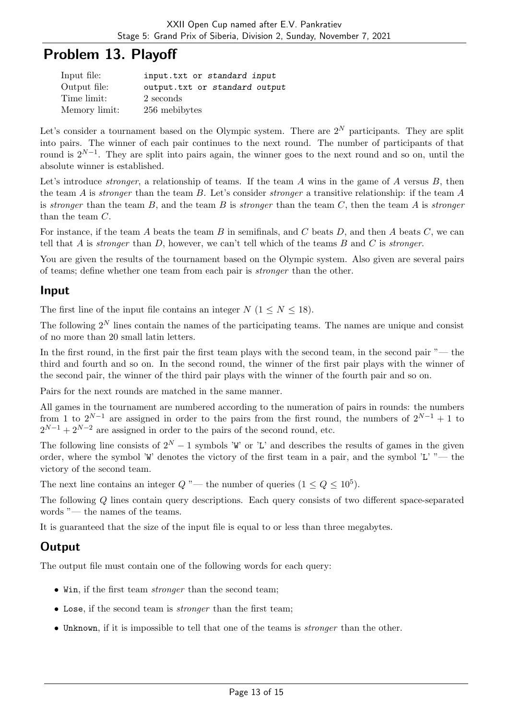# Problem 13. Playoff

| Input file:   | input.txt or standard input   |
|---------------|-------------------------------|
| Output file:  | output.txt or standard output |
| Time limit:   | 2 seconds                     |
| Memory limit: | 256 mebibytes                 |

Let's consider a tournament based on the Olympic system. There are  $2^N$  participants. They are split into pairs. The winner of each pair continues to the next round. The number of participants of that round is  $2^{N-1}$ . They are split into pairs again, the winner goes to the next round and so on, until the absolute winner is established.

Let's introduce *stronger*, a relationship of teams. If the team  $A$  wins in the game of  $A$  versus  $B$ , then the team A is *stronger* than the team B. Let's consider *stronger* a transitive relationship: if the team A is stronger than the team  $B$ , and the team  $B$  is stronger than the team  $C$ , then the team  $A$  is stronger than the team C.

For instance, if the team A beats the team B in semifinals, and C beats D, and then A beats  $C$ , we can tell that A is *stronger* than D, however, we can't tell which of the teams B and C is *stronger*.

You are given the results of the tournament based on the Olympic system. Also given are several pairs of teams; define whether one team from each pair is stronger than the other.

#### Input

The first line of the input file contains an integer  $N$  ( $1 \le N \le 18$ ).

The following  $2^N$  lines contain the names of the participating teams. The names are unique and consist of no more than 20 small latin letters.

In the first round, in the first pair the first team plays with the second team, in the second pair "— the third and fourth and so on. In the second round, the winner of the first pair plays with the winner of the second pair, the winner of the third pair plays with the winner of the fourth pair and so on.

Pairs for the next rounds are matched in the same manner.

All games in the tournament are numbered according to the numeration of pairs in rounds: the numbers from 1 to  $2^{N-1}$  are assigned in order to the pairs from the first round, the numbers of  $2^{N-1} + 1$  to  $2^{N-1} + 2^{N-2}$  are assigned in order to the pairs of the second round, etc.

The following line consists of  $2^N - 1$  symbols 'W' or 'L' and describes the results of games in the given order, where the symbol 'W' denotes the victory of the first team in a pair, and the symbol 'L' "— the victory of the second team.

The next line contains an integer  $Q$  "— the number of queries  $(1 \le Q \le 10^5)$ .

The following Q lines contain query descriptions. Each query consists of two different space-separated words "— the names of the teams.

It is guaranteed that the size of the input file is equal to or less than three megabytes.

### **Output**

The output file must contain one of the following words for each query:

- Win, if the first team *stronger* than the second team;
- Lose, if the second team is *stronger* than the first team;
- Unknown, if it is impossible to tell that one of the teams is *stronger* than the other.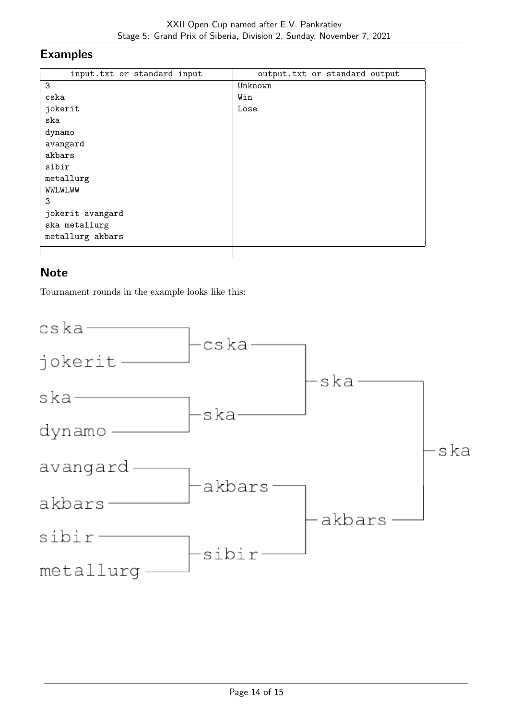# Examples

| input.txt or standard input | output.txt or standard output |
|-----------------------------|-------------------------------|
| 3                           | Unknown                       |
| cska                        | Win                           |
| jokerit                     | Lose                          |
| ska                         |                               |
| dynamo                      |                               |
| avangard                    |                               |
| akbars                      |                               |
| sibir                       |                               |
| metallurg                   |                               |
| <b>WWLWLWW</b>              |                               |
| 3                           |                               |
| jokerit avangard            |                               |
| ska metallurg               |                               |
| metallurg akbars            |                               |
|                             |                               |

# **Note**

Tournament rounds in the example looks like this: